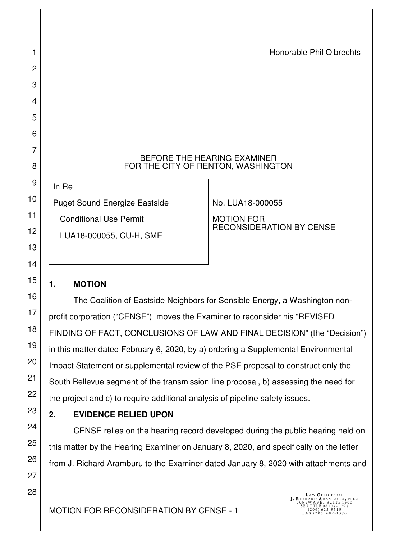#### BEFORE THE HEARING EXAMINER FOR THE CITY OF RENTON, WASHINGTON

Puget Sound Energize Eastside

Conditional Use Permit

LUA18-000055, CU-H, SME

No. LUA18-000055

MOTION FOR RECONSIDERATION BY CENSE

## **1. MOTION**

In Re

The Coalition of Eastside Neighbors for Sensible Energy, a Washington nonprofit corporation ("CENSE") moves the Examiner to reconsider his "REVISED FINDING OF FACT, CONCLUSIONS OF LAW AND FINAL DECISION" (the "Decision") in this matter dated February 6, 2020, by a) ordering a Supplemental Environmental Impact Statement or supplemental review of the PSE proposal to construct only the South Bellevue segment of the transmission line proposal, b) assessing the need for the project and c) to require additional analysis of pipeline safety issues.

# **2. EVIDENCE RELIED UPON**

CENSE relies on the hearing record developed during the public hearing held on this matter by the Hearing Examiner on January 8, 2020, and specifically on the letter from J. Richard Aramburu to the Examiner dated January 8, 2020 with attachments and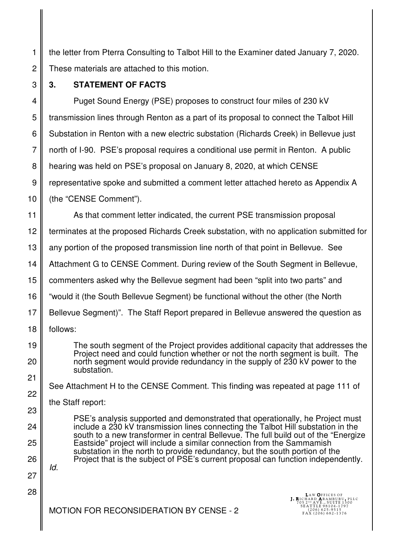2 the letter from Pterra Consulting to Talbot Hill to the Examiner dated January 7, 2020. These materials are attached to this motion.

3

1

## **3. STATEMENT OF FACTS**

4 5 6 7 8 9 10 Puget Sound Energy (PSE) proposes to construct four miles of 230 kV transmission lines through Renton as a part of its proposal to connect the Talbot Hill Substation in Renton with a new electric substation (Richards Creek) in Bellevue just north of I-90. PSE's proposal requires a conditional use permit in Renton. A public hearing was held on PSE's proposal on January 8, 2020, at which CENSE representative spoke and submitted a comment letter attached hereto as Appendix A (the "CENSE Comment").

11 12 13 14 15 16 17 18 As that comment letter indicated, the current PSE transmission proposal terminates at the proposed Richards Creek substation, with no application submitted for any portion of the proposed transmission line north of that point in Bellevue. See Attachment G to CENSE Comment. During review of the South Segment in Bellevue, commenters asked why the Bellevue segment had been "split into two parts" and "would it (the South Bellevue Segment) be functional without the other (the North Bellevue Segment)". The Staff Report prepared in Bellevue answered the question as follows:

The south segment of the Project provides additional capacity that addresses the Project need and could function whether or not the north segment is built. The north segment would provide redundancy in the supply of 230 kV power to the substation.

See Attachment H to the CENSE Comment. This finding was repeated at page 111 of

the Staff report:

PSE's analysis supported and demonstrated that operationally, he Project must include a 230 kV transmission lines connecting the Talbot Hill substation in the south to a new transformer in central Bellevue. The full build out of the "Energize Eastside" project will include a similar connection from the Sammamish substation in the north to provide redundancy, but the south portion of the Project that is the subject of PSE's current proposal can function independently.

26 27

Id.

28

19

20

21

22

23

24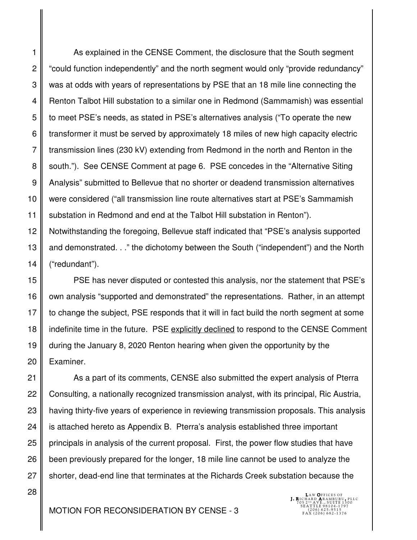1 2 3 4 5 6 7 8 9 10 11 As explained in the CENSE Comment, the disclosure that the South segment "could function independently" and the north segment would only "provide redundancy" was at odds with years of representations by PSE that an 18 mile line connecting the Renton Talbot Hill substation to a similar one in Redmond (Sammamish) was essential to meet PSE's needs, as stated in PSE's alternatives analysis ("To operate the new transformer it must be served by approximately 18 miles of new high capacity electric transmission lines (230 kV) extending from Redmond in the north and Renton in the south."). See CENSE Comment at page 6. PSE concedes in the "Alternative Siting Analysis" submitted to Bellevue that no shorter or deadend transmission alternatives were considered ("all transmission line route alternatives start at PSE's Sammamish substation in Redmond and end at the Talbot Hill substation in Renton").

12 13 14 Notwithstanding the foregoing, Bellevue staff indicated that "PSE's analysis supported and demonstrated. . ." the dichotomy between the South ("independent") and the North ("redundant").

15 16 17 18 19 20 PSE has never disputed or contested this analysis, nor the statement that PSE's own analysis "supported and demonstrated" the representations. Rather, in an attempt to change the subject, PSE responds that it will in fact build the north segment at some indefinite time in the future. PSE explicitly declined to respond to the CENSE Comment during the January 8, 2020 Renton hearing when given the opportunity by the Examiner.

21 22 23 24 25 26 27 As a part of its comments, CENSE also submitted the expert analysis of Pterra Consulting, a nationally recognized transmission analyst, with its principal, Ric Austria, having thirty-five years of experience in reviewing transmission proposals. This analysis is attached hereto as Appendix B. Pterra's analysis established three important principals in analysis of the current proposal. First, the power flow studies that have been previously prepared for the longer, 18 mile line cannot be used to analyze the shorter, dead-end line that terminates at the Richards Creek substation because the

LAW **O**FFICES OF<br>**J. R**ICHARD **A**RAMBURU, PLLC<br>705 2פ AVE., SUITE 1300<br>8EATTLE 98104-1797

28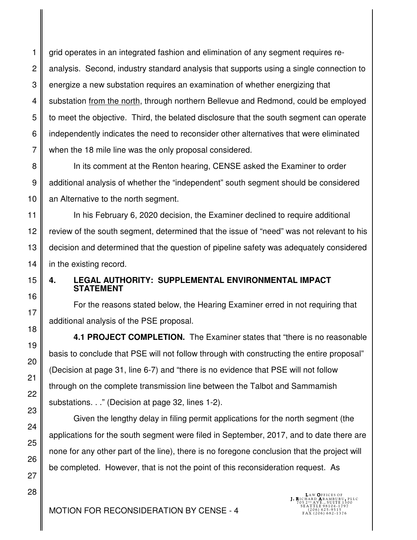1 grid operates in an integrated fashion and elimination of any segment requires reanalysis. Second, industry standard analysis that supports using a single connection to energize a new substation requires an examination of whether energizing that substation from the north, through northern Bellevue and Redmond, could be employed to meet the objective. Third, the belated disclosure that the south segment can operate independently indicates the need to reconsider other alternatives that were eliminated when the 18 mile line was the only proposal considered.

In its comment at the Renton hearing, CENSE asked the Examiner to order additional analysis of whether the "independent" south segment should be considered an Alternative to the north segment.

In his February 6, 2020 decision, the Examiner declined to require additional review of the south segment, determined that the issue of "need" was not relevant to his decision and determined that the question of pipeline safety was adequately considered in the existing record.

### **4. LEGAL AUTHORITY: SUPPLEMENTAL ENVIRONMENTAL IMPACT STATEMENT**

For the reasons stated below, the Hearing Examiner erred in not requiring that additional analysis of the PSE proposal.

**4.1 PROJECT COMPLETION.** The Examiner states that "there is no reasonable basis to conclude that PSE will not follow through with constructing the entire proposal" (Decision at page 31, line 6-7) and "there is no evidence that PSE will not follow through on the complete transmission line between the Talbot and Sammamish substations. . ." (Decision at page 32, lines 1-2).

Given the lengthy delay in filing permit applications for the north segment (the applications for the south segment were filed in September, 2017, and to date there are none for any other part of the line), there is no foregone conclusion that the project will be completed. However, that is not the point of this reconsideration request. As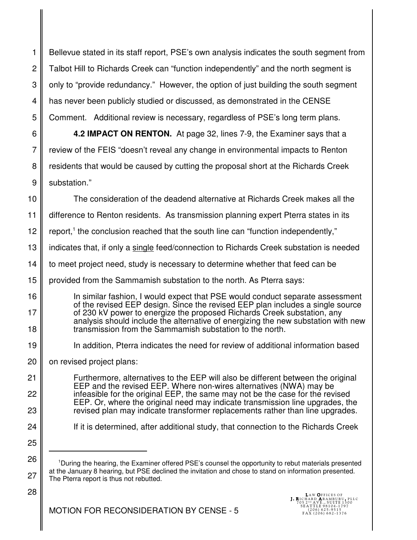1 2 3 4 5 Bellevue stated in its staff report, PSE's own analysis indicates the south segment from Talbot Hill to Richards Creek can "function independently" and the north segment is only to "provide redundancy." However, the option of just building the south segment has never been publicly studied or discussed, as demonstrated in the CENSE Comment. Additional review is necessary, regardless of PSE's long term plans.

6 7 8 9 **4.2 IMPACT ON RENTON.** At page 32, lines 7-9, the Examiner says that a review of the FEIS "doesn't reveal any change in environmental impacts to Renton residents that would be caused by cutting the proposal short at the Richards Creek substation."

10 11 12 13 14 15 16 17 18 19 20 21 22 23 24 25 26 The consideration of the deadend alternative at Richards Creek makes all the difference to Renton residents. As transmission planning expert Pterra states in its report,<sup>1</sup> the conclusion reached that the south line can "function independently," indicates that, if only a single feed/connection to Richards Creek substation is needed to meet project need, study is necessary to determine whether that feed can be provided from the Sammamish substation to the north. As Pterra says: In similar fashion, I would expect that PSE would conduct separate assessment of the revised EEP design. Since the revised EEP plan includes a single source of 230 kV power to energize the proposed Richards Creek substation, any analysis should include the alternative of energizing the new substation with new transmission from the Sammamish substation to the north. In addition, Pterra indicates the need for review of additional information based on revised project plans: Furthermore, alternatives to the EEP will also be different between the original EEP and the revised EEP. Where non-wires alternatives (NWA) may be infeasible for the original EEP, the same may not be the case for the revised EEP. Or, where the original need may indicate transmission line upgrades, the revised plan may indicate transformer replacements rather than line upgrades. If it is determined, after additional study, that connection to the Richards Creek <sup>1</sup>During the hearing, the Examiner offered PSE's counsel the opportunity to rebut materials presented

28

at the January 8 hearing, but PSE declined the invitation and chose to stand on information presented. The Pterra report is thus not rebutted.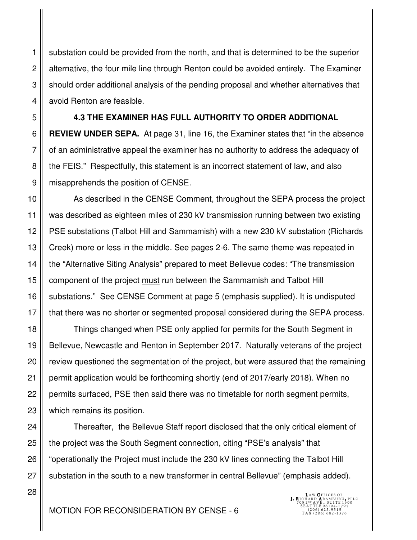substation could be provided from the north, and that is determined to be the superior alternative, the four mile line through Renton could be avoided entirely. The Examiner should order additional analysis of the pending proposal and whether alternatives that avoid Renton are feasible.

1

2

3

4

28

5 6 7 8 9 **4.3 THE EXAMINER HAS FULL AUTHORITY TO ORDER ADDITIONAL REVIEW UNDER SEPA.** At page 31, line 16, the Examiner states that "in the absence of an administrative appeal the examiner has no authority to address the adequacy of the FEIS." Respectfully, this statement is an incorrect statement of law, and also misapprehends the position of CENSE.

10 11 12 13 14 15 16 17 As described in the CENSE Comment, throughout the SEPA process the project was described as eighteen miles of 230 kV transmission running between two existing PSE substations (Talbot Hill and Sammamish) with a new 230 kV substation (Richards Creek) more or less in the middle. See pages 2-6. The same theme was repeated in the "Alternative Siting Analysis" prepared to meet Bellevue codes: "The transmission component of the project must run between the Sammamish and Talbot Hill substations." See CENSE Comment at page 5 (emphasis supplied). It is undisputed that there was no shorter or segmented proposal considered during the SEPA process.

18 19 20 21 22 23 Things changed when PSE only applied for permits for the South Segment in Bellevue, Newcastle and Renton in September 2017. Naturally veterans of the project review questioned the segmentation of the project, but were assured that the remaining permit application would be forthcoming shortly (end of 2017/early 2018). When no permits surfaced, PSE then said there was no timetable for north segment permits, which remains its position.

24 25 26 27 Thereafter, the Bellevue Staff report disclosed that the only critical element of the project was the South Segment connection, citing "PSE's analysis" that "operationally the Project must include the 230 kV lines connecting the Talbot Hill substation in the south to a new transformer in central Bellevue" (emphasis added).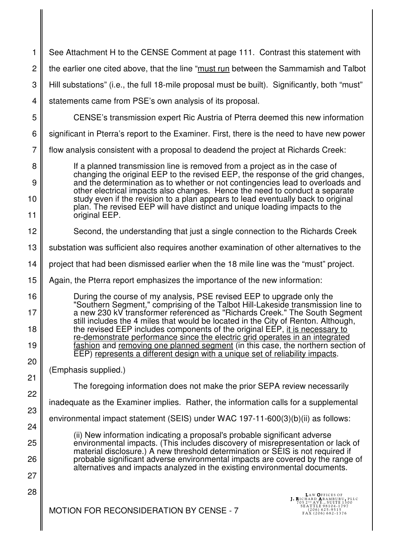| 1                    | See Attachment H to the CENSE Comment at page 111. Contrast this statement with                                                                                                                                                                                                                                                                                                                                                                                                                                                                                                                                                                               |
|----------------------|---------------------------------------------------------------------------------------------------------------------------------------------------------------------------------------------------------------------------------------------------------------------------------------------------------------------------------------------------------------------------------------------------------------------------------------------------------------------------------------------------------------------------------------------------------------------------------------------------------------------------------------------------------------|
| $\overline{c}$       | the earlier one cited above, that the line "must run between the Sammamish and Talbot                                                                                                                                                                                                                                                                                                                                                                                                                                                                                                                                                                         |
| 3                    | Hill substations" (i.e., the full 18-mile proposal must be built). Significantly, both "must"                                                                                                                                                                                                                                                                                                                                                                                                                                                                                                                                                                 |
| 4                    | statements came from PSE's own analysis of its proposal.                                                                                                                                                                                                                                                                                                                                                                                                                                                                                                                                                                                                      |
| 5                    | CENSE's transmission expert Ric Austria of Pterra deemed this new information                                                                                                                                                                                                                                                                                                                                                                                                                                                                                                                                                                                 |
| 6                    | significant in Pterra's report to the Examiner. First, there is the need to have new power                                                                                                                                                                                                                                                                                                                                                                                                                                                                                                                                                                    |
| $\overline{7}$       | flow analysis consistent with a proposal to deadend the project at Richards Creek:                                                                                                                                                                                                                                                                                                                                                                                                                                                                                                                                                                            |
| 8<br>9<br>10<br>11   | If a planned transmission line is removed from a project as in the case of<br>changing the original EEP to the revised EEP, the response of the grid changes,<br>and the determination as to whether or not contingencies lead to overloads and<br>other electrical impacts also changes. Hence the need to conduct a separate<br>study even if the revision to a plan appears to lead eventually back to original<br>plan. The revised EEP will have distinct and unique loading impacts to the<br>original EEP.                                                                                                                                             |
| 12                   | Second, the understanding that just a single connection to the Richards Creek                                                                                                                                                                                                                                                                                                                                                                                                                                                                                                                                                                                 |
| 13                   | substation was sufficient also requires another examination of other alternatives to the                                                                                                                                                                                                                                                                                                                                                                                                                                                                                                                                                                      |
| 14                   | project that had been dismissed earlier when the 18 mile line was the "must" project.                                                                                                                                                                                                                                                                                                                                                                                                                                                                                                                                                                         |
| 15                   | Again, the Pterra report emphasizes the importance of the new information:                                                                                                                                                                                                                                                                                                                                                                                                                                                                                                                                                                                    |
| 16<br>17<br>18<br>19 | During the course of my analysis, PSE revised EEP to upgrade only the<br>"Southern Segment," comprising of the Talbot Hill-Lakeside transmission line to<br>a new 230 kV transformer referenced as "Richards Creek." The South Segment<br>still includes the 4 miles that would be located in the City of Renton. Although,<br>the revised EEP includes components of the original EEP, it is necessary to<br>re-demonstrate performance since the electric grid operates in an integrated<br>fashion and removing one planned segment (in this case, the northern section of<br>EEP) represents a different design with a unique set of reliability impacts. |
| 20<br>21             | (Emphasis supplied.)                                                                                                                                                                                                                                                                                                                                                                                                                                                                                                                                                                                                                                          |
| 22                   | The foregoing information does not make the prior SEPA review necessarily                                                                                                                                                                                                                                                                                                                                                                                                                                                                                                                                                                                     |
| 23                   | inadequate as the Examiner implies. Rather, the information calls for a supplemental                                                                                                                                                                                                                                                                                                                                                                                                                                                                                                                                                                          |
| 24                   | environmental impact statement (SEIS) under WAC 197-11-600(3)(b)(ii) as follows:                                                                                                                                                                                                                                                                                                                                                                                                                                                                                                                                                                              |
| 25                   | (ii) New information indicating a proposal's probable significant adverse<br>environmental impacts. (This includes discovery of misrepresentation or lack of                                                                                                                                                                                                                                                                                                                                                                                                                                                                                                  |
| 26                   | material disclosure.) A new threshold determination or SEIS is not required if<br>probable significant adverse environmental impacts are covered by the range of                                                                                                                                                                                                                                                                                                                                                                                                                                                                                              |
| 27                   | alternatives and impacts analyzed in the existing environmental documents.                                                                                                                                                                                                                                                                                                                                                                                                                                                                                                                                                                                    |
| 28                   | LAW OFFICES OF<br>J. RICHARD ARAMBURU, PLLC<br>105 2 ND A VE., SUITE 1300<br>3EATTLE 98104-1797<br><b>MOTION FOR RECONSIDERATION BY CENSE - 7</b><br>(206) 625-9515<br>FAX (206) 682-1376                                                                                                                                                                                                                                                                                                                                                                                                                                                                     |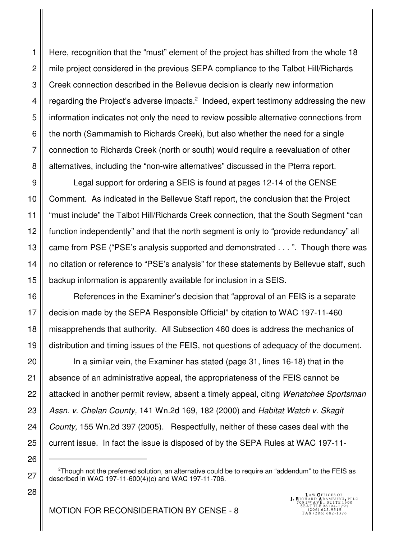1 2 3 4 5 6 7 8 Here, recognition that the "must" element of the project has shifted from the whole 18 mile project considered in the previous SEPA compliance to the Talbot Hill/Richards Creek connection described in the Bellevue decision is clearly new information regarding the Project's adverse impacts. $2$  Indeed, expert testimony addressing the new information indicates not only the need to review possible alternative connections from the north (Sammamish to Richards Creek), but also whether the need for a single connection to Richards Creek (north or south) would require a reevaluation of other alternatives, including the "non-wire alternatives" discussed in the Pterra report.

9 10 11 12 13 14 15 Legal support for ordering a SEIS is found at pages 12-14 of the CENSE Comment. As indicated in the Bellevue Staff report, the conclusion that the Project "must include" the Talbot Hill/Richards Creek connection, that the South Segment "can function independently" and that the north segment is only to "provide redundancy" all came from PSE ("PSE's analysis supported and demonstrated . . . ". Though there was no citation or reference to "PSE's analysis" for these statements by Bellevue staff, such backup information is apparently available for inclusion in a SEIS.

16 17 18 19 References in the Examiner's decision that "approval of an FEIS is a separate decision made by the SEPA Responsible Official" by citation to WAC 197-11-460 misapprehends that authority. All Subsection 460 does is address the mechanics of distribution and timing issues of the FEIS, not questions of adequacy of the document.

In a similar vein, the Examiner has stated (page 31, lines 16-18) that in the absence of an administrative appeal, the appropriateness of the FEIS cannot be attacked in another permit review, absent a timely appeal, citing Wenatchee Sportsman Assn. v. Chelan County, 141 Wn.2d 169, 182 (2000) and Habitat Watch v. Skagit County, 155 Wn.2d 397 (2005). Respectfully, neither of these cases deal with the current issue. In fact the issue is disposed of by the SEPA Rules at WAC 197-11-

20

21

22

23

24

25

26

27

 $2$ Though not the preferred solution, an alternative could be to require an "addendum" to the FEIS as described in WAC 197-11-600(4)(c) and WAC 197-11-706.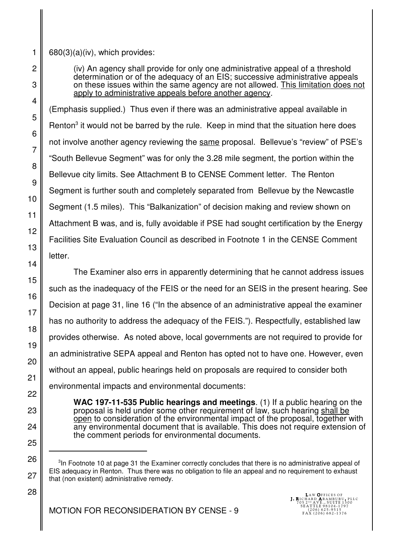680(3)(a)(iv), which provides:

(iv) An agency shall provide for only one administrative appeal of a threshold determination or of the adequacy of an EIS; successive administrative appeals on these issues within the same agency are not allowed. This limitation does not apply to administrative appeals before another agency.

(Emphasis supplied.) Thus even if there was an administrative appeal available in Renton<sup>3</sup> it would not be barred by the rule. Keep in mind that the situation here does not involve another agency reviewing the same proposal. Bellevue's "review" of PSE's "South Bellevue Segment" was for only the 3.28 mile segment, the portion within the Bellevue city limits. See Attachment B to CENSE Comment letter. The Renton Segment is further south and completely separated from Bellevue by the Newcastle Segment (1.5 miles). This "Balkanization" of decision making and review shown on Attachment B was, and is, fully avoidable if PSE had sought certification by the Energy Facilities Site Evaluation Council as described in Footnote 1 in the CENSE Comment letter.

The Examiner also errs in apparently determining that he cannot address issues such as the inadequacy of the FEIS or the need for an SEIS in the present hearing. See Decision at page 31, line 16 ("In the absence of an administrative appeal the examiner has no authority to address the adequacy of the FEIS."). Respectfully, established law provides otherwise. As noted above, local governments are not required to provide for an administrative SEPA appeal and Renton has opted not to have one. However, even without an appeal, public hearings held on proposals are required to consider both environmental impacts and environmental documents:

**WAC 197-11-535 Public hearings and meetings**. (1) If a public hearing on the proposal is held under some other requirement of law, such hearing shall be open to consideration of the environmental impact of the proposal, together with any environmental document that is available. This does not require extension of the comment periods for environmental documents.

 $3$ In Footnote 10 at page 31 the Examiner correctly concludes that there is no administrative appeal of EIS adequacy in Renton. Thus there was no obligation to file an appeal and no requirement to exhaust that (non existent) administrative remedy.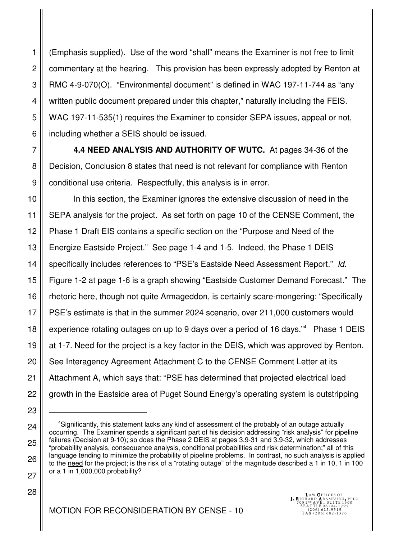1 2 3 4 5 6 (Emphasis supplied). Use of the word "shall" means the Examiner is not free to limit commentary at the hearing. This provision has been expressly adopted by Renton at RMC 4-9-070(O). "Environmental document" is defined in WAC 197-11-744 as "any written public document prepared under this chapter," naturally including the FEIS. WAC 197-11-535(1) requires the Examiner to consider SEPA issues, appeal or not, including whether a SEIS should be issued.

**4.4 NEED ANALYSIS AND AUTHORITY OF WUTC.** At pages 34-36 of the Decision, Conclusion 8 states that need is not relevant for compliance with Renton conditional use criteria. Respectfully, this analysis is in error.

7

8

9

23

24

25

26

27

28

10 11 12 13 14 15 16 17 18 19 20 21 22 In this section, the Examiner ignores the extensive discussion of need in the SEPA analysis for the project. As set forth on page 10 of the CENSE Comment, the Phase 1 Draft EIS contains a specific section on the "Purpose and Need of the Energize Eastside Project." See page 1-4 and 1-5. Indeed, the Phase 1 DEIS specifically includes references to "PSE's Eastside Need Assessment Report." Id. Figure 1-2 at page 1-6 is a graph showing "Eastside Customer Demand Forecast." The rhetoric here, though not quite Armageddon, is certainly scare-mongering: "Specifically PSE's estimate is that in the summer 2024 scenario, over 211,000 customers would experience rotating outages on up to 9 days over a period of 16 days."<sup>4</sup> Phase 1 DEIS at 1-7. Need for the project is a key factor in the DEIS, which was approved by Renton. See Interagency Agreement Attachment C to the CENSE Comment Letter at its Attachment A, which says that: "PSE has determined that projected electrical load growth in the Eastside area of Puget Sound Energy's operating system is outstripping

LAW **O**FFICES OF<br>**J. R**ICHARD **A**RAMBURU, PLLC<br>705 2פ AVE., SUITE 1300<br>8EATTLE 98104-1797

<sup>4</sup>Significantly, this statement lacks any kind of assessment of the probably of an outage actually occurring. The Examiner spends a significant part of his decision addressing "risk analysis" for pipeline failures (Decision at 9-10); so does the Phase 2 DEIS at pages 3.9-31 and 3.9-32, which addresses "probability analysis, consequence analysis, conditional probabilities and risk determination;" all of this language tending to minimize the probability of pipeline problems. In contrast, no such analysis is applied to the need for the project; is the risk of a "rotating outage" of the magnitude described a 1 in 10, 1 in 100 or a 1 in 1,000,000 probability?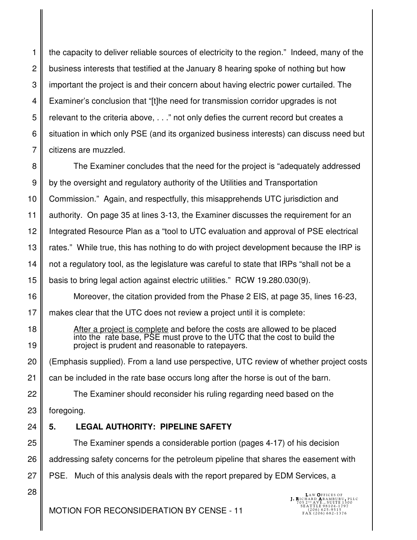1 2 3 4 5 6 7 the capacity to deliver reliable sources of electricity to the region." Indeed, many of the business interests that testified at the January 8 hearing spoke of nothing but how important the project is and their concern about having electric power curtailed. The Examiner's conclusion that "[t]he need for transmission corridor upgrades is not relevant to the criteria above, . . ." not only defies the current record but creates a situation in which only PSE (and its organized business interests) can discuss need but citizens are muzzled.

8 9 10 11 12 13 14 15 The Examiner concludes that the need for the project is "adequately addressed by the oversight and regulatory authority of the Utilities and Transportation Commission." Again, and respectfully, this misapprehends UTC jurisdiction and authority. On page 35 at lines 3-13, the Examiner discusses the requirement for an Integrated Resource Plan as a "tool to UTC evaluation and approval of PSE electrical rates." While true, this has nothing to do with project development because the IRP is not a regulatory tool, as the legislature was careful to state that IRPs "shall not be a basis to bring legal action against electric utilities." RCW 19.280.030(9).

Moreover, the citation provided from the Phase 2 EIS, at page 35, lines 16-23,

17 makes clear that the UTC does not review a project until it is complete:

> After a project is complete and before the costs are allowed to be placed into the rate base, PSE must prove to the UTC that the cost to build the project is prudent and reasonable to ratepayers.

20 (Emphasis supplied). From a land use perspective, UTC review of whether project costs

21 can be included in the rate base occurs long after the horse is out of the barn.

22 23 The Examiner should reconsider his ruling regarding need based on the foregoing.

24 **5. LEGAL AUTHORITY: PIPELINE SAFETY** 

25 26 The Examiner spends a considerable portion (pages 4-17) of his decision addressing safety concerns for the petroleum pipeline that shares the easement with

PSE. Much of this analysis deals with the report prepared by EDM Services, a

28

27

16

18

19

LAW **O**FFICES OF<br>**J. R**ICHARD **A**RAMBURU, PLLC<br>705 2פ AVE., SUITE 1300<br>8EATTLE 98104-1797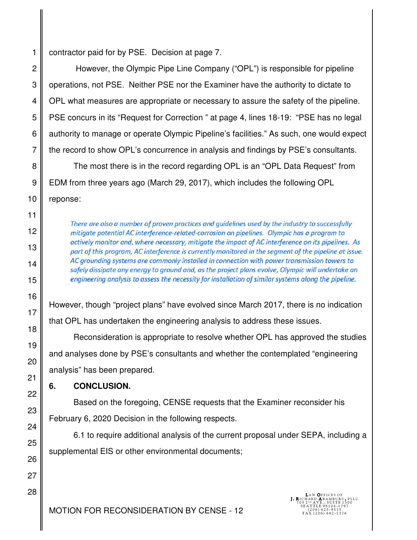contractor paid for by PSE. Decision at page 7.

 However, the Olympic Pipe Line Company ("OPL") is responsible for pipeline operations, not PSE. Neither PSE nor the Examiner have the authority to dictate to OPL what measures are appropriate or necessary to assure the safety of the pipeline. PSE concurs in its "Request for Correction " at page 4, lines 18-19: "PSE has no legal authority to manage or operate Olympic Pipeline's facilities." As such, one would expect the record to show OPL's concurrence in analysis and findings by PSE's consultants.

The most there is in the record regarding OPL is an "OPL Data Request" from EDM from three years ago (March 29, 2017), which includes the following OPL reponse:

> There are also a number of proven practices and guidelines used by the industry to successfully mitigate potential AC interference-related-corrosion on pipelines. Olympic has a program to actively monitor and, where necessary, mitigate the impact of AC interference on its pipelines. As part of this program, AC interference is currently monitored in the segment of the pipeline at issue. AC grounding systems are commonly installed in connection with power transmission towers to safely dissipate any energy to ground and, as the project plans evolve, Olympic will undertake an engineering analysis to assess the necessity for installation of similar systems along the pipeline.

However, though "project plans" have evolved since March 2017, there is no indication that OPL has undertaken the engineering analysis to address these issues.

Reconsideration is appropriate to resolve whether OPL has approved the studies and analyses done by PSE's consultants and whether the contemplated "engineering analysis" has been prepared.

### **6. CONCLUSION.**

Based on the foregoing, CENSE requests that the Examiner reconsider his February 6, 2020 Decision in the following respects.

6.1 to require additional analysis of the current proposal under SEPA, including a supplemental EIS or other environmental documents;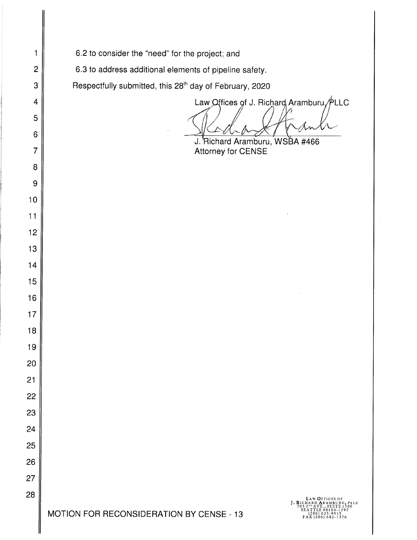6.2 to consider the "need" for the project; and

I

6.3 to address additional elements of pipeline safety.

Respectfully submitted, this 28<sup>th</sup> day of February, 2020

Law Offices of J. Richard Aramburu  $\cancel{\psi}$ LLC

J. Richard Aramburu, WSBA #466 Attorney for CENSE

LAW OFFICES OF<br>HARD ARAMBURU, PLLC<br>2<sup>80</sup> AVE., SUITE 1300<br>ATTLE 98104-1797 J. RICH<br>'705 2 86411LE98104-1797<br>(206) 625-9515<br>FAX (206) 682-1376